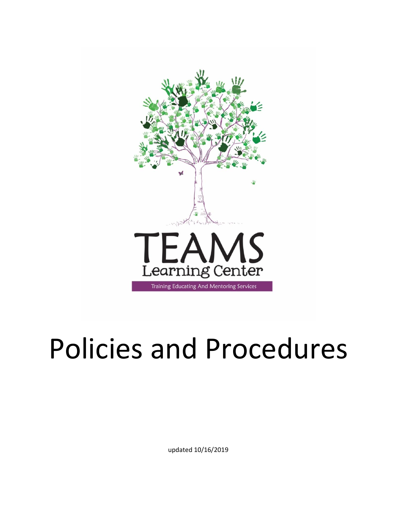

# Policies and Procedures

updated 10/16/2019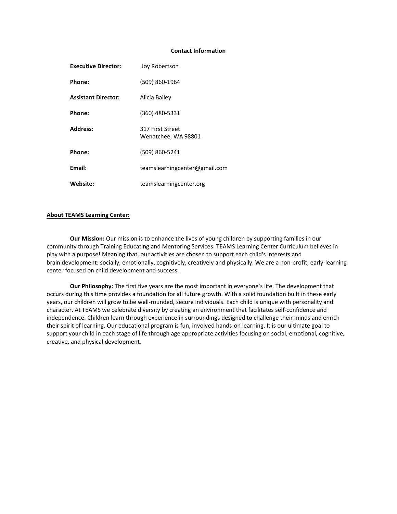#### **Contact Information**

| <b>Executive Director:</b> | Joy Robertson                           |
|----------------------------|-----------------------------------------|
| Phone:                     | (509) 860-1964                          |
| <b>Assistant Director:</b> | Alicia Bailey                           |
| Phone:                     | (360) 480-5331                          |
| Address:                   | 317 First Street<br>Wenatchee, WA 98801 |
| Phone:                     | (509) 860-5241                          |
| Email:                     | teamslearningcenter@gmail.com           |
| Website:                   | teamslearningcenter.org                 |

## **About TEAMS Learning Center:**

**Our Mission:** Our mission is to enhance the lives of young children by supporting families in our community through Training Educating and Mentoring Services. TEAMS Learning Center Curriculum believes in play with a purpose! Meaning that, our activities are chosen to support each child's interests and brain development: socially, emotionally, cognitively, creatively and physically. We are a non-profit, early-learning center focused on child development and success.

**Our Philosophy:** The first five years are the most important in everyone's life. The development that occurs during this time provides a foundation for all future growth. With a solid foundation built in these early years, our children will grow to be well-rounded, secure individuals. Each child is unique with personality and character. At TEAMS we celebrate diversity by creating an environment that facilitates self-confidence and independence. Children learn through experience in surroundings designed to challenge their minds and enrich their spirit of learning. Our educational program is fun, involved hands-on learning. It is our ultimate goal to support your child in each stage of life through age appropriate activities focusing on social, emotional, cognitive, creative, and physical development.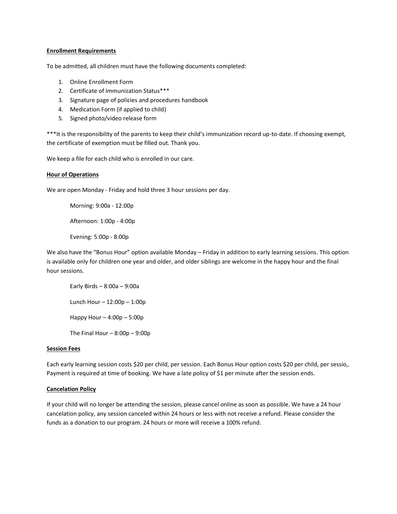## **Enrollment Requirements**

To be admitted, all children must have the following documents completed:

- 1. Online Enrollment Form
- 2. Certificate of Immunization Status\*\*\*
- 3. Signature page of policies and procedures handbook
- 4. Medication Form (if applied to child)
- 5. Signed photo/video release form

\*\*\*It is the responsibility of the parents to keep their child's immunization record up-to-date. If choosing exempt, the certificate of exemption must be filled out. Thank you.

We keep a file for each child who is enrolled in our care.

# **Hour of Operations**

We are open Monday - Friday and hold three 3 hour sessions per day.

Morning: 9:00a - 12:00p

Afternoon: 1:00p - 4:00p

Evening: 5:00p - 8:00p

We also have the "Bonus Hour" option available Monday – Friday in addition to early learning sessions. This option is available only for children one year and older, and older siblings are welcome in the happy hour and the final hour sessions.

Early Birds – 8:00a – 9:00a Lunch Hour – 12:00p – 1:00p Happy Hour – 4:00p – 5:00p The Final Hour  $-8:00p - 9:00p$ 

### **Session Fees**

Each early learning session costs \$20 per child, per session. Each Bonus Hour option costs \$20 per child, per sessio,. Payment is required at time of booking. We have a late policy of \$1 per minute after the session ends.

# **Cancelation Policy**

If your child will no longer be attending the session, please cancel online as soon as possible. We have a 24 hour cancelation policy, any session canceled within 24 hours or less with not receive a refund. Please consider the funds as a donation to our program. 24 hours or more will receive a 100% refund.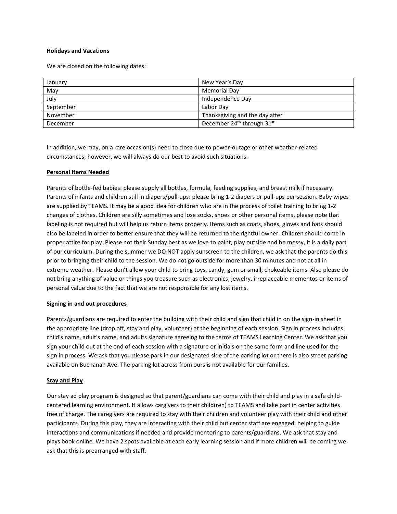# **Holidays and Vacations**

We are closed on the following dates:

| January   | New Year's Day                                     |
|-----------|----------------------------------------------------|
|           |                                                    |
| May       | <b>Memorial Day</b>                                |
| July      | Independence Day                                   |
| September | Labor Dav                                          |
| November  | Thanksgiving and the day after                     |
| December  | December 24 <sup>th</sup> through 31 <sup>st</sup> |

In addition, we may, on a rare occasion(s) need to close due to power-outage or other weather-related circumstances; however, we will always do our best to avoid such situations.

# **Personal Items Needed**

Parents of bottle-fed babies: please supply all bottles, formula, feeding supplies, and breast milk if necessary. Parents of infants and children still in diapers/pull-ups: please bring 1-2 diapers or pull-ups per session. Baby wipes are supplied by TEAMS. It may be a good idea for children who are in the process of toilet training to bring 1-2 changes of clothes. Children are silly sometimes and lose socks, shoes or other personal items, please note that labeling is not required but will help us return items properly. Items such as coats, shoes, gloves and hats should also be labeled in order to better ensure that they will be returned to the rightful owner. Children should come in proper attire for play. Please not their Sunday best as we love to paint, play outside and be messy, it is a daily part of our curriculum. During the summer we DO NOT apply sunscreen to the children, we ask that the parents do this prior to bringing their child to the session. We do not go outside for more than 30 minutes and not at all in extreme weather. Please don't allow your child to bring toys, candy, gum or small, chokeable items. Also please do not bring anything of value or things you treasure such as electronics, jewelry, irreplaceable mementos or items of personal value due to the fact that we are not responsible for any lost items.

# **Signing in and out procedures**

Parents/guardians are required to enter the building with their child and sign that child in on the sign-in sheet in the appropriate line (drop off, stay and play, volunteer) at the beginning of each session. Sign in process includes child's name, adult's name, and adults signature agreeing to the terms of TEAMS Learning Center. We ask that you sign your child out at the end of each session with a signature or initials on the same form and line used for the sign in process. We ask that you please park in our designated side of the parking lot or there is also street parking available on Buchanan Ave. The parking lot across from ours is not available for our families.

# **Stay and Play**

Our stay ad play program is designed so that parent/guardians can come with their child and play in a safe childcentered learning environment. It allows cargivers to their child(ren) to TEAMS and take part in center activities free of charge. The caregivers are required to stay with their children and volunteer play with their child and other participants. During this play, they are interacting with their child but center staff are engaged, helping to guide interactions and communications if needed and provide mentoring to parents/guardians. We ask that stay and plays book online. We have 2 spots available at each early learning session and if more children will be coming we ask that this is prearranged with staff.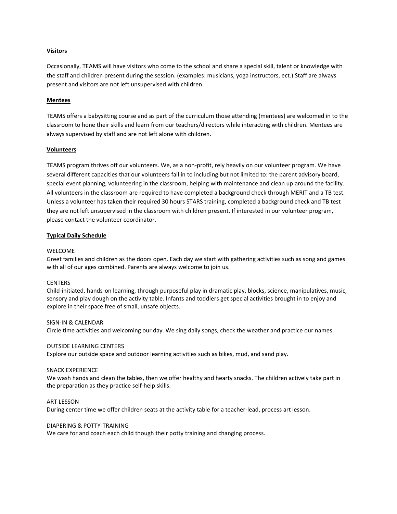# **Visitors**

Occasionally, TEAMS will have visitors who come to the school and share a special skill, talent or knowledge with the staff and children present during the session. (examples: musicians, yoga instructors, ect.) Staff are always present and visitors are not left unsupervised with children.

# **Mentees**

TEAMS offers a babysitting course and as part of the curriculum those attending (mentees) are welcomed in to the classroom to hone their skills and learn from our teachers/directors while interacting with children. Mentees are always supervised by staff and are not left alone with children.

# **Volunteers**

TEAMS program thrives off our volunteers. We, as a non-profit, rely heavily on our volunteer program. We have several different capacities that our volunteers fall in to including but not limited to: the parent advisory board, special event planning, volunteering in the classroom, helping with maintenance and clean up around the facility. All volunteers in the classroom are required to have completed a background check through MERIT and a TB test. Unless a volunteer has taken their required 30 hours STARS training, completed a background check and TB test they are not left unsupervised in the classroom with children present. If interested in our volunteer program, please contact the volunteer coordinator.

# **Typical Daily Schedule**

### WELCOME

Greet families and children as the doors open. Each day we start with gathering activities such as song and games with all of our ages combined. Parents are always welcome to join us.

### CENTERS

Child-initiated, hands-on learning, through purposeful play in dramatic play, blocks, science, manipulatives, music, sensory and play dough on the activity table. Infants and toddlers get special activities brought in to enjoy and explore in their space free of small, unsafe objects.

### SIGN-IN & CALENDAR

Circle time activities and welcoming our day. We sing daily songs, check the weather and practice our names.

### OUTSIDE LEARNING CENTERS

Explore our outside space and outdoor learning activities such as bikes, mud, and sand play.

### SNACK EXPERIENCE

We wash hands and clean the tables, then we offer healthy and hearty snacks. The children actively take part in the preparation as they practice self-help skills.

### ART LESSON

During center time we offer children seats at the activity table for a teacher-lead, process art lesson.

## DIAPERING & POTTY-TRAINING

We care for and coach each child though their potty training and changing process.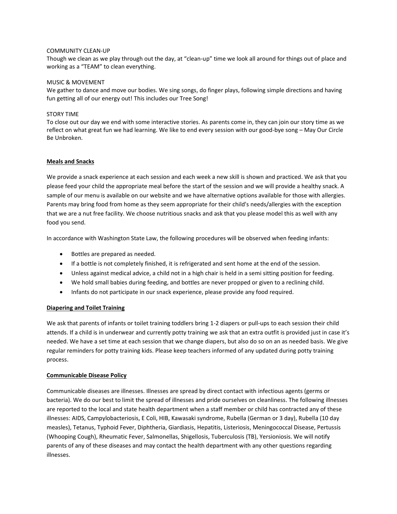# COMMUNITY CLEAN-UP

Though we clean as we play through out the day, at "clean-up" time we look all around for things out of place and working as a "TEAM" to clean everything.

## MUSIC & MOVEMENT

We gather to dance and move our bodies. We sing songs, do finger plays, following simple directions and having fun getting all of our energy out! This includes our Tree Song!

# STORY TIME

To close out our day we end with some interactive stories. As parents come in, they can join our story time as we reflect on what great fun we had learning. We like to end every session with our good-bye song – May Our Circle Be Unbroken.

# **Meals and Snacks**

We provide a snack experience at each session and each week a new skill is shown and practiced. We ask that you please feed your child the appropriate meal before the start of the session and we will provide a healthy snack. A sample of our menu is available on our website and we have alternative options available for those with allergies. Parents may bring food from home as they seem appropriate for their child's needs/allergies with the exception that we are a nut free facility. We choose nutritious snacks and ask that you please model this as well with any food you send.

In accordance with Washington State Law, the following procedures will be observed when feeding infants:

- Bottles are prepared as needed.
- If a bottle is not completely finished, it is refrigerated and sent home at the end of the session.
- Unless against medical advice, a child not in a high chair is held in a semi sitting position for feeding.
- We hold small babies during feeding, and bottles are never propped or given to a reclining child.
- Infants do not participate in our snack experience, please provide any food required.

# **Diapering and Toilet Training**

We ask that parents of infants or toilet training toddlers bring 1-2 diapers or pull-ups to each session their child attends. If a child is in underwear and currently potty training we ask that an extra outfit is provided just in case it's needed. We have a set time at each session that we change diapers, but also do so on an as needed basis. We give regular reminders for potty training kids. Please keep teachers informed of any updated during potty training process.

### **Communicable Disease Policy**

Communicable diseases are illnesses. Illnesses are spread by direct contact with infectious agents (germs or bacteria). We do our best to limit the spread of illnesses and pride ourselves on cleanliness. The following illnesses are reported to the local and state health department when a staff member or child has contracted any of these illnesses: AIDS, Campylobacteriosis, E Coli, HIB, Kawasaki syndrome, Rubella (German or 3 day), Rubella (10 day measles), Tetanus, Typhoid Fever, Diphtheria, Giardiasis, Hepatitis, Listeriosis, Meningococcal Disease, Pertussis (Whooping Cough), Rheumatic Fever, Salmonellas, Shigellosis, Tuberculosis (TB), Yersioniosis. We will notify parents of any of these diseases and may contact the health department with any other questions regarding illnesses.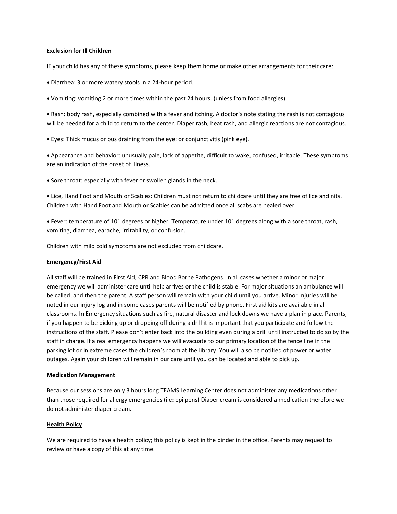# **Exclusion for Ill Children**

IF your child has any of these symptoms, please keep them home or make other arrangements for their care:

- Diarrhea: 3 or more watery stools in a 24-hour period.
- Vomiting: vomiting 2 or more times within the past 24 hours. (unless from food allergies)

• Rash: body rash, especially combined with a fever and itching. A doctor's note stating the rash is not contagious will be needed for a child to return to the center. Diaper rash, heat rash, and allergic reactions are not contagious.

• Eyes: Thick mucus or pus draining from the eye; or conjunctivitis (pink eye).

• Appearance and behavior: unusually pale, lack of appetite, difficult to wake, confused, irritable. These symptoms are an indication of the onset of illness.

• Sore throat: especially with fever or swollen glands in the neck.

• Lice, Hand Foot and Mouth or Scabies: Children must not return to childcare until they are free of lice and nits. Children with Hand Foot and Mouth or Scabies can be admitted once all scabs are healed over.

• Fever: temperature of 101 degrees or higher. Temperature under 101 degrees along with a sore throat, rash, vomiting, diarrhea, earache, irritability, or confusion.

Children with mild cold symptoms are not excluded from childcare.

### **Emergency/First Aid**

All staff will be trained in First Aid, CPR and Blood Borne Pathogens. In all cases whether a minor or major emergency we will administer care until help arrives or the child is stable. For major situations an ambulance will be called, and then the parent. A staff person will remain with your child until you arrive. Minor injuries will be noted in our injury log and in some cases parents will be notified by phone. First aid kits are available in all classrooms. In Emergency situations such as fire, natural disaster and lock downs we have a plan in place. Parents, if you happen to be picking up or dropping off during a drill it is important that you participate and follow the instructions of the staff. Please don't enter back into the building even during a drill until instructed to do so by the staff in charge. If a real emergency happens we will evacuate to our primary location of the fence line in the parking lot or in extreme cases the children's room at the library. You will also be notified of power or water outages. Again your children will remain in our care until you can be located and able to pick up.

### **Medication Management**

Because our sessions are only 3 hours long TEAMS Learning Center does not administer any medications other than those required for allergy emergencies (i.e: epi pens) Diaper cream is considered a medication therefore we do not administer diaper cream.

# **Health Policy**

We are required to have a health policy; this policy is kept in the binder in the office. Parents may request to review or have a copy of this at any time.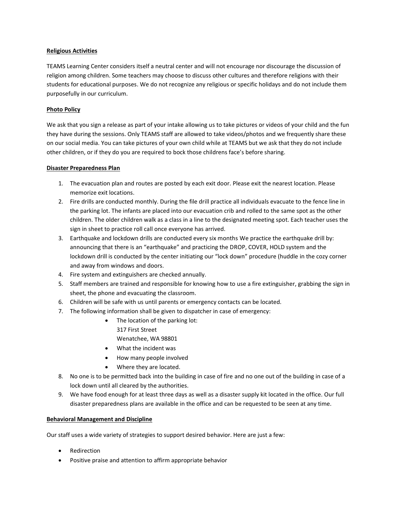# **Religious Activities**

TEAMS Learning Center considers itself a neutral center and will not encourage nor discourage the discussion of religion among children. Some teachers may choose to discuss other cultures and therefore religions with their students for educational purposes. We do not recognize any religious or specific holidays and do not include them purposefully in our curriculum.

# **Photo Policy**

We ask that you sign a release as part of your intake allowing us to take pictures or videos of your child and the fun they have during the sessions. Only TEAMS staff are allowed to take videos/photos and we frequently share these on our social media. You can take pictures of your own child while at TEAMS but we ask that they do not include other children, or if they do you are required to bock those childrens face's before sharing.

# **Disaster Preparedness Plan**

- 1. The evacuation plan and routes are posted by each exit door. Please exit the nearest location. Please memorize exit locations.
- 2. Fire drills are conducted monthly. During the file drill practice all individuals evacuate to the fence line in the parking lot. The infants are placed into our evacuation crib and rolled to the same spot as the other children. The older children walk as a class in a line to the designated meeting spot. Each teacher uses the sign in sheet to practice roll call once everyone has arrived.
- 3. Earthquake and lockdown drills are conducted every six months We practice the earthquake drill by: announcing that there is an "earthquake" and practicing the DROP, COVER, HOLD system and the lockdown drill is conducted by the center initiating our "lock down" procedure (huddle in the cozy corner and away from windows and doors.
- 4. Fire system and extinguishers are checked annually.
- 5. Staff members are trained and responsible for knowing how to use a fire extinguisher, grabbing the sign in sheet, the phone and evacuating the classroom.
- 6. Children will be safe with us until parents or emergency contacts can be located.
- 7. The following information shall be given to dispatcher in case of emergency:
	- The location of the parking lot: 317 First Street
		- Wenatchee, WA 98801
	- What the incident was
	- How many people involved
	- Where they are located.
- 8. No one is to be permitted back into the building in case of fire and no one out of the building in case of a lock down until all cleared by the authorities.
- 9. We have food enough for at least three days as well as a disaster supply kit located in the office. Our full disaster preparedness plans are available in the office and can be requested to be seen at any time.

# **Behavioral Management and Discipline**

Our staff uses a wide variety of strategies to support desired behavior. Here are just a few:

- Redirection
- Positive praise and attention to affirm appropriate behavior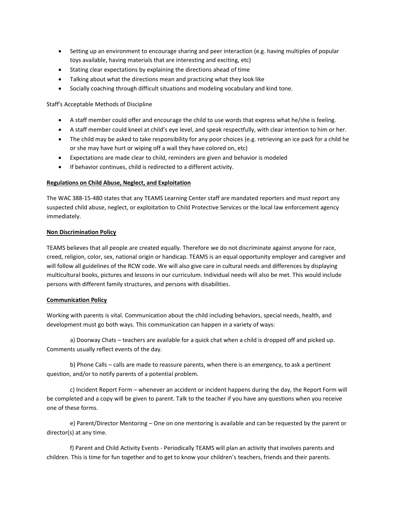- Setting up an environment to encourage sharing and peer interaction (e.g. having multiples of popular toys available, having materials that are interesting and exciting, etc)
- Stating clear expectations by explaining the directions ahead of time
- Talking about what the directions mean and practicing what they look like
- Socially coaching through difficult situations and modeling vocabulary and kind tone.

Staff's Acceptable Methods of Discipline

- A staff member could offer and encourage the child to use words that express what he/she is feeling.
- A staff member could kneel at child's eye level, and speak respectfully, with clear intention to him or her.
- The child may be asked to take responsibility for any poor choices (e.g. retrieving an ice pack for a child he or she may have hurt or wiping off a wall they have colored on, etc)
- Expectations are made clear to child, reminders are given and behavior is modeled
- If behavior continues, child is redirected to a different activity.

# **Regulations on Child Abuse, Neglect, and Exploitation**

The WAC 388-15-480 states that any TEAMS Learning Center staff are mandated reporters and must report any suspected child abuse, neglect, or exploitation to Child Protective Services or the local law enforcement agency immediately.

# **Non Discrimination Policy**

TEAMS believes that all people are created equally. Therefore we do not discriminate against anyone for race, creed, religion, color, sex, national origin or handicap. TEAMS is an equal opportunity employer and caregiver and will follow all guidelines of the RCW code. We will also give care in cultural needs and differences by displaying multicultural books, pictures and lessons in our curriculum. Individual needs will also be met. This would include persons with different family structures, and persons with disabilities.

# **Communication Policy**

Working with parents is vital. Communication about the child including behaviors, special needs, health, and development must go both ways. This communication can happen in a variety of ways:

a) Doorway Chats – teachers are available for a quick chat when a child is dropped off and picked up. Comments usually reflect events of the day.

b) Phone Calls – calls are made to reassure parents, when there is an emergency, to ask a pertinent question, and/or to notify parents of a potential problem.

c) Incident Report Form – whenever an accident or incident happens during the day, the Report Form will be completed and a copy will be given to parent. Talk to the teacher if you have any questions when you receive one of these forms.

e) Parent/Director Mentoring – One on one mentoring is available and can be requested by the parent or director(s) at any time.

f) Parent and Child Activity Events - Periodically TEAMS will plan an activity that involves parents and children. This is time for fun together and to get to know your children's teachers, friends and their parents.